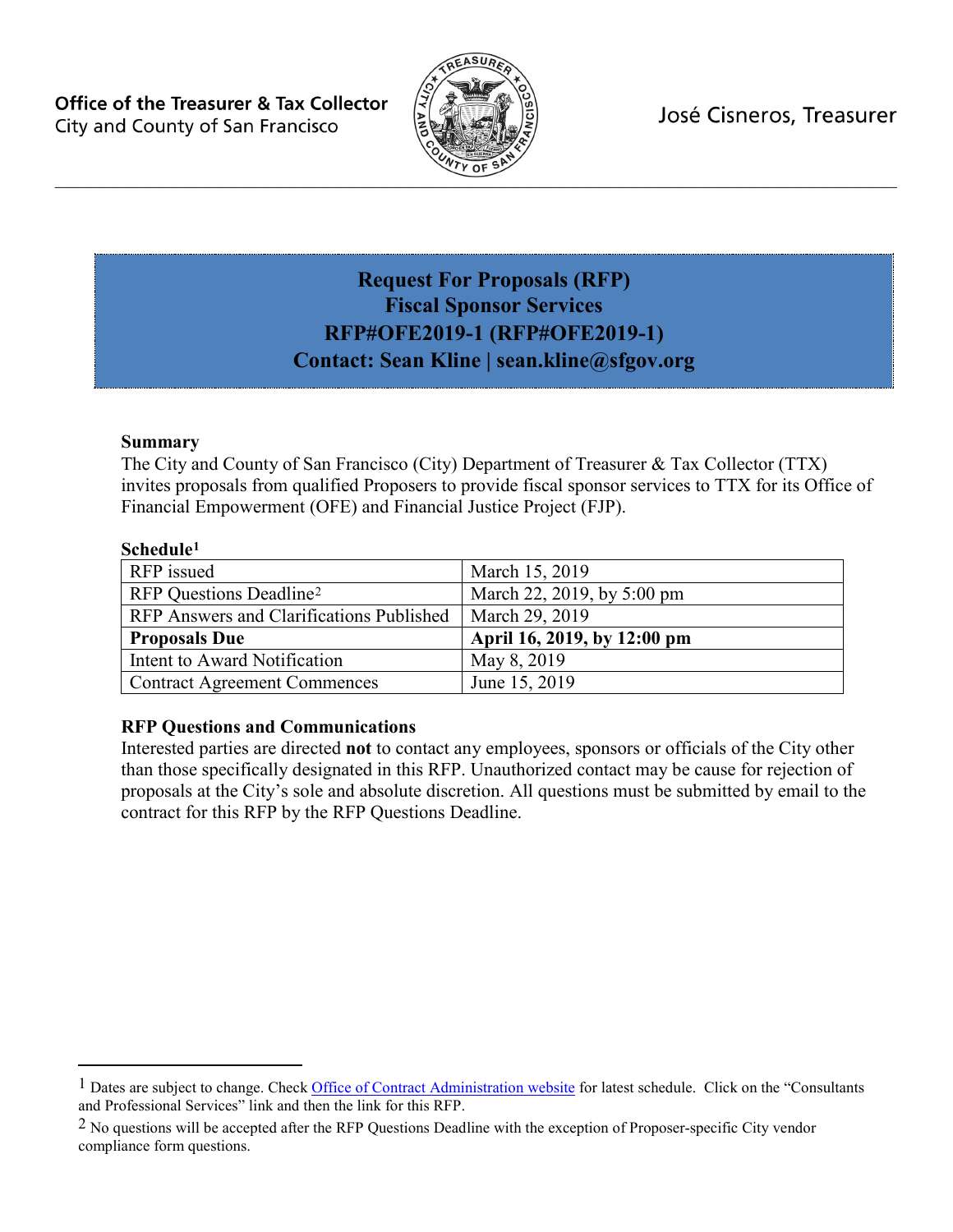**Office of the Treasurer & Tax Collector** City and County of San Francisco



José Cisneros, Treasurer

## <span id="page-0-3"></span><span id="page-0-2"></span>**Request For Proposals (RFP) Fiscal Sponsor Services RFP#OFE2019-1 (RFP#OFE2019-1) Contact: Sean Kline | sean.kline@sfgov.org**

#### **Summary**

The City and County of San Francisco (City) Department of Treasurer & Tax Collector (TTX) invites proposals from qualified Proposers to provide fiscal sponsor services to TTX for its Office of Financial Empowerment (OFE) and Financial Justice Project (FJP).

#### **Schedule[1](#page-0-0)**

 $\overline{a}$ 

| RFP issued                               | March 15, 2019              |
|------------------------------------------|-----------------------------|
| RFP Questions Deadline <sup>2</sup>      | March 22, 2019, by 5:00 pm  |
| RFP Answers and Clarifications Published | March 29, 2019              |
| <b>Proposals Due</b>                     | April 16, 2019, by 12:00 pm |
| Intent to Award Notification             | May 8, 2019                 |
| <b>Contract Agreement Commences</b>      | June 15, 2019               |

#### **RFP Questions and Communications**

Interested parties are directed **not** to contact any employees, sponsors or officials of the City other than those specifically designated in this RFP. Unauthorized contact may be cause for rejection of proposals at the City's sole and absolute discretion. All questions must be submitted by email to the contract for this RFP by the RFP Questions Deadline.

<span id="page-0-0"></span><sup>&</sup>lt;sup>1</sup> Dates are subject to change. Check Office of [Contract Administration website](http://mission.sfgov.org/OCABidPublication/ReviewBids.aspx) for latest schedule. Click on the "Consultants" and Professional Services" link and then the link for this RFP.

<span id="page-0-1"></span><sup>&</sup>lt;sup>2</sup> No questions will be accepted after the RFP Questions Deadline with the exception of Proposer-specific City vendor compliance form questions.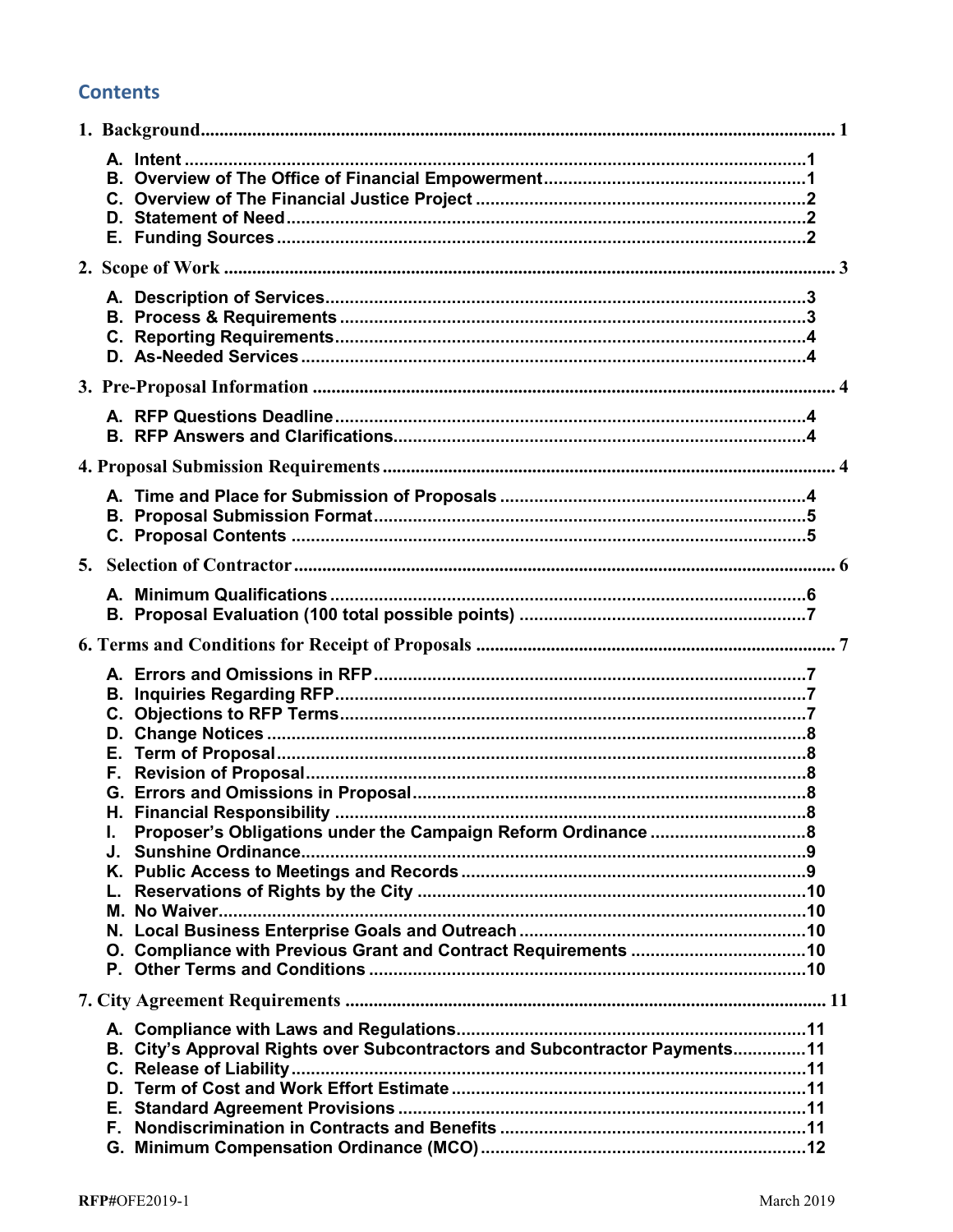## **Contents**

| F.        |                                                                             |
|-----------|-----------------------------------------------------------------------------|
| J.        |                                                                             |
| L.        |                                                                             |
|           |                                                                             |
| Е.<br>F., | B. City's Approval Rights over Subcontractors and Subcontractor Payments 11 |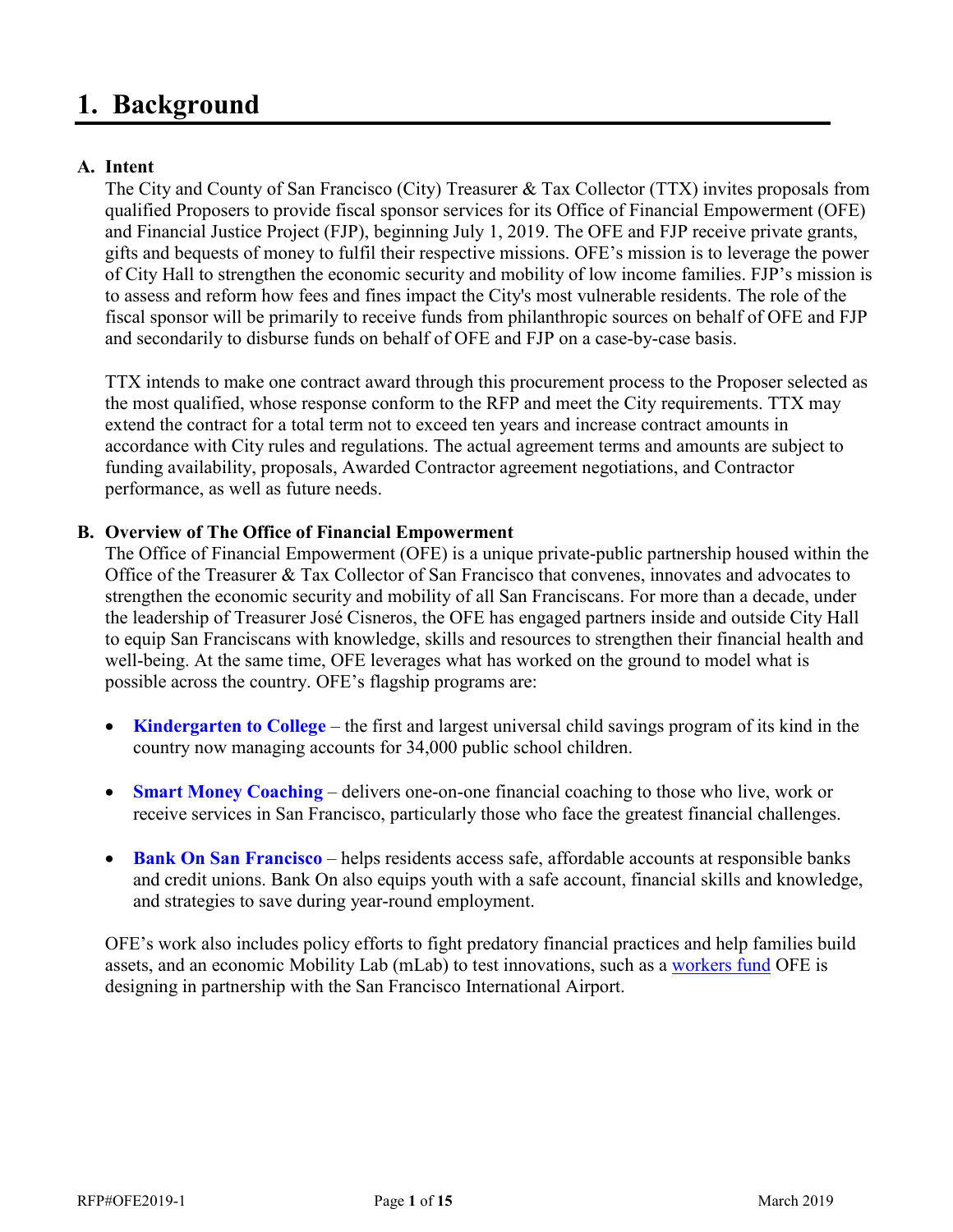# <span id="page-3-0"></span>**1. Background**

#### <span id="page-3-1"></span>**A. Intent**

The City and County of San Francisco (City) Treasurer & Tax Collector (TTX) invites proposals from qualified Proposers to provide fiscal sponsor services for its Office of Financial Empowerment (OFE) and Financial Justice Project (FJP), beginning July 1, 2019. The OFE and FJP receive private grants, gifts and bequests of money to fulfil their respective missions. OFE's mission is to leverage the power of City Hall to strengthen the economic security and mobility of low income families. FJP's mission is to assess and reform how fees and fines impact the City's most vulnerable residents. The role of the fiscal sponsor will be primarily to receive funds from philanthropic sources on behalf of OFE and FJP and secondarily to disburse funds on behalf of OFE and FJP on a case-by-case basis.

TTX intends to make one contract award through this procurement process to the Proposer selected as the most qualified, whose response conform to the RFP and meet the City requirements. TTX may extend the contract for a total term not to exceed ten years and increase contract amounts in accordance with City rules and regulations. The actual agreement terms and amounts are subject to funding availability, proposals, Awarded Contractor agreement negotiations, and Contractor performance, as well as future needs.

#### <span id="page-3-2"></span>**B. Overview of The Office of Financial Empowerment**

The Office of Financial Empowerment (OFE) is a unique private-public partnership housed within the Office of the Treasurer & Tax Collector of San Francisco that convenes, innovates and advocates to strengthen the economic security and mobility of all San Franciscans. For more than a decade, under the leadership of Treasurer José Cisneros, the OFE has engaged partners inside and outside City Hall to equip San Franciscans with knowledge, skills and resources to strengthen their financial health and well-being. At the same time, OFE leverages what has worked on the ground to model what is possible across the country. OFE's flagship programs are:

- **[Kindergarten to College](https://sfgov.org/ofe/k2c)** the first and largest universal child savings program of its kind in the country now managing accounts for 34,000 public school children.
- **[Smart Money Coaching](https://sfgov.org/ofe/san-francisco-smart-money-coaching)** delivers one-on-one financial coaching to those who live, work or receive services in San Francisco, particularly those who face the greatest financial challenges.
- **[Bank On San Francisco](https://sfgov.org/ofe/ofe-bank-san-francisco)** helps residents access safe, affordable accounts at responsible banks and credit unions. Bank On also equips youth with a safe account, financial skills and knowledge, and strategies to save during year-round employment.

OFE's work also includes policy efforts to fight predatory financial practices and help families build assets, and an economic Mobility Lab (mLab) to test innovations, such as a [workers fund](https://sftreasurer.org/article/press-release-office-financial-empowerment-awarded-150000-workers-lab-innovation-fund-design) OFE is designing in partnership with the San Francisco International Airport.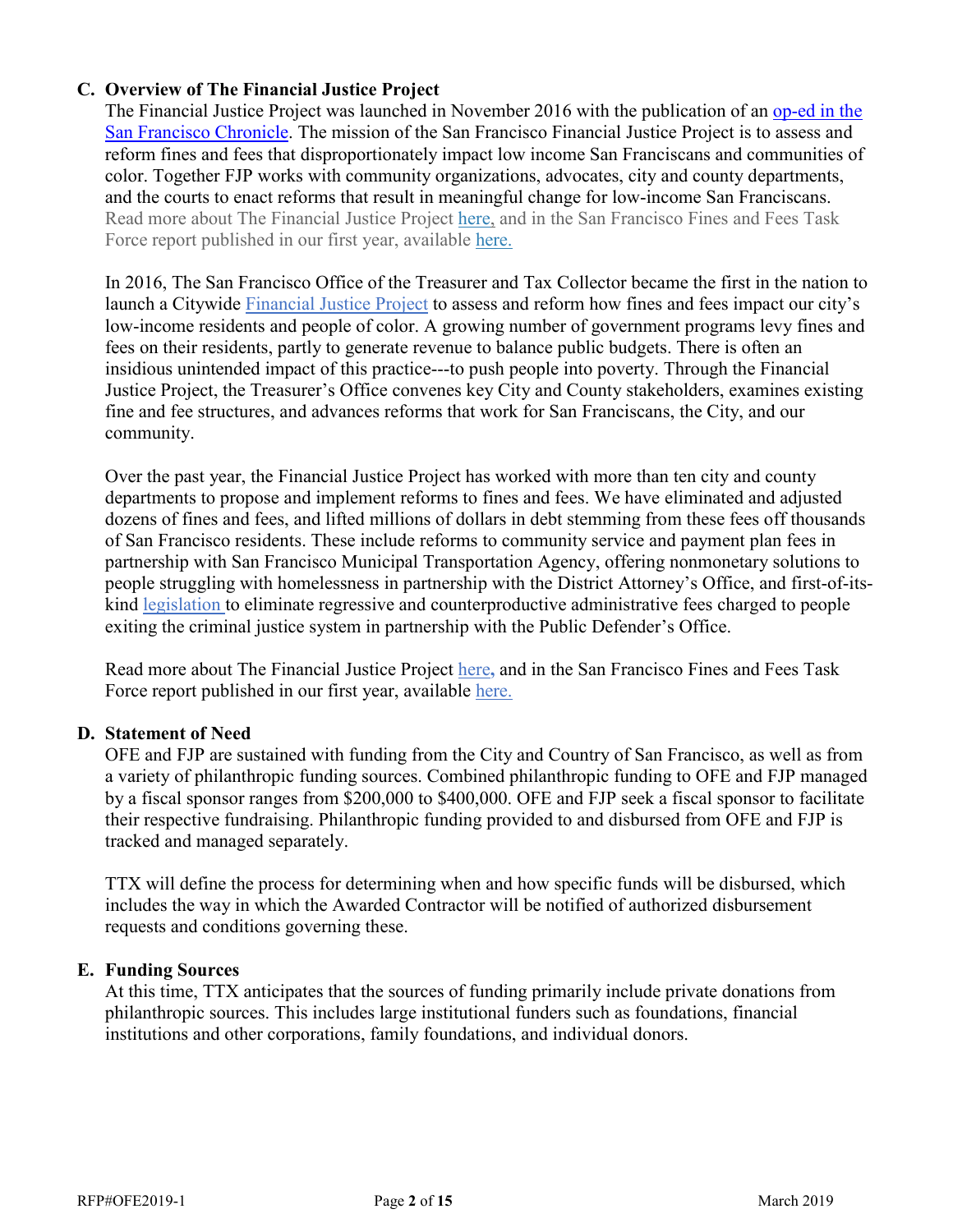#### <span id="page-4-0"></span>**C. Overview of The Financial Justice Project**

The Financial Justice Project was launched in November 2016 with the publication of an [op-ed in the](http://www.sfchronicle.com/opinion/openforum/article/San-Francisco-has-become-a-predatory-government-10641316.php)  [San Francisco Chronicle.](http://www.sfchronicle.com/opinion/openforum/article/San-Francisco-has-become-a-predatory-government-10641316.php) The mission of the San Francisco Financial Justice Project is to assess and reform fines and fees that disproportionately impact low income San Franciscans and communities of color. Together FJP works with community organizations, advocates, city and county departments, and the courts to enact reforms that result in meaningful change for low-income San Franciscans. Read more about The Financial Justice Project [here,](https://sftreasurer.org/sites/default/files/Overview%20of%20the%20Financial%20Justice%20Project%2012.11.18.pdf) and in the San Francisco Fines and Fees Task Force report published in our first year, available [here.](https://sftreasurer.org/publications-and-materials)

In 2016, The San Francisco Office of the Treasurer and Tax Collector became the first in the nation to launch a Citywide [Financial](http://sftreasurer.org/financialjustice) Justice Project to assess and reform how fines and fees impact our city's low-income residents and people of color. A growing number of government programs levy fines and fees on their residents, partly to generate revenue to balance public budgets. There is often an insidious unintended impact of this practice---to push people into poverty. Through the Financial Justice Project, the Treasurer's Office convenes key City and County stakeholders, examines existing fine and fee structures, and advances reforms that work for San Franciscans, the City, and our community.

Over the past year, the Financial Justice Project has worked with more than ten city and county departments to propose and implement reforms to fines and fees. We have eliminated and adjusted dozens of fines and fees, and lifted millions of dollars in debt stemming from these fees off thousands of San Francisco residents. These include reforms to community service and payment plan fees in partnership with San Francisco Municipal Transportation Agency, offering nonmonetary solutions to people struggling with homelessness in partnership with the District Attorney's Office, and first-of-itskind [legislation](https://www.sfchronicle.com/crime/article/S-F-ordinance-targets-fees-faced-by-poor-12553613.php) to eliminate regressive and counterproductive administrative fees charged to people exiting the criminal justice system in partnership with the Public Defender's Office.

Read more about The Financial Justice Project [here](https://sftreasurer.org/sites/default/files/Overview%20of%20the%20Financial%20Justice%20Project%2012.11.18.pdf)**,** and in the San Francisco Fines and Fees Task Force report published in our first year, available [here.](https://sftreasurer.org/publications-and-materials)

#### <span id="page-4-1"></span>**D. Statement of Need**

OFE and FJP are sustained with funding from the City and Country of San Francisco, as well as from a variety of philanthropic funding sources. Combined philanthropic funding to OFE and FJP managed by a fiscal sponsor ranges from \$200,000 to \$400,000. OFE and FJP seek a fiscal sponsor to facilitate their respective fundraising. Philanthropic funding provided to and disbursed from OFE and FJP is tracked and managed separately.

TTX will define the process for determining when and how specific funds will be disbursed, which includes the way in which the Awarded Contractor will be notified of authorized disbursement requests and conditions governing these.

#### <span id="page-4-2"></span>**E. Funding Sources**

At this time, TTX anticipates that the sources of funding primarily include private donations from philanthropic sources. This includes large institutional funders such as foundations, financial institutions and other corporations, family foundations, and individual donors.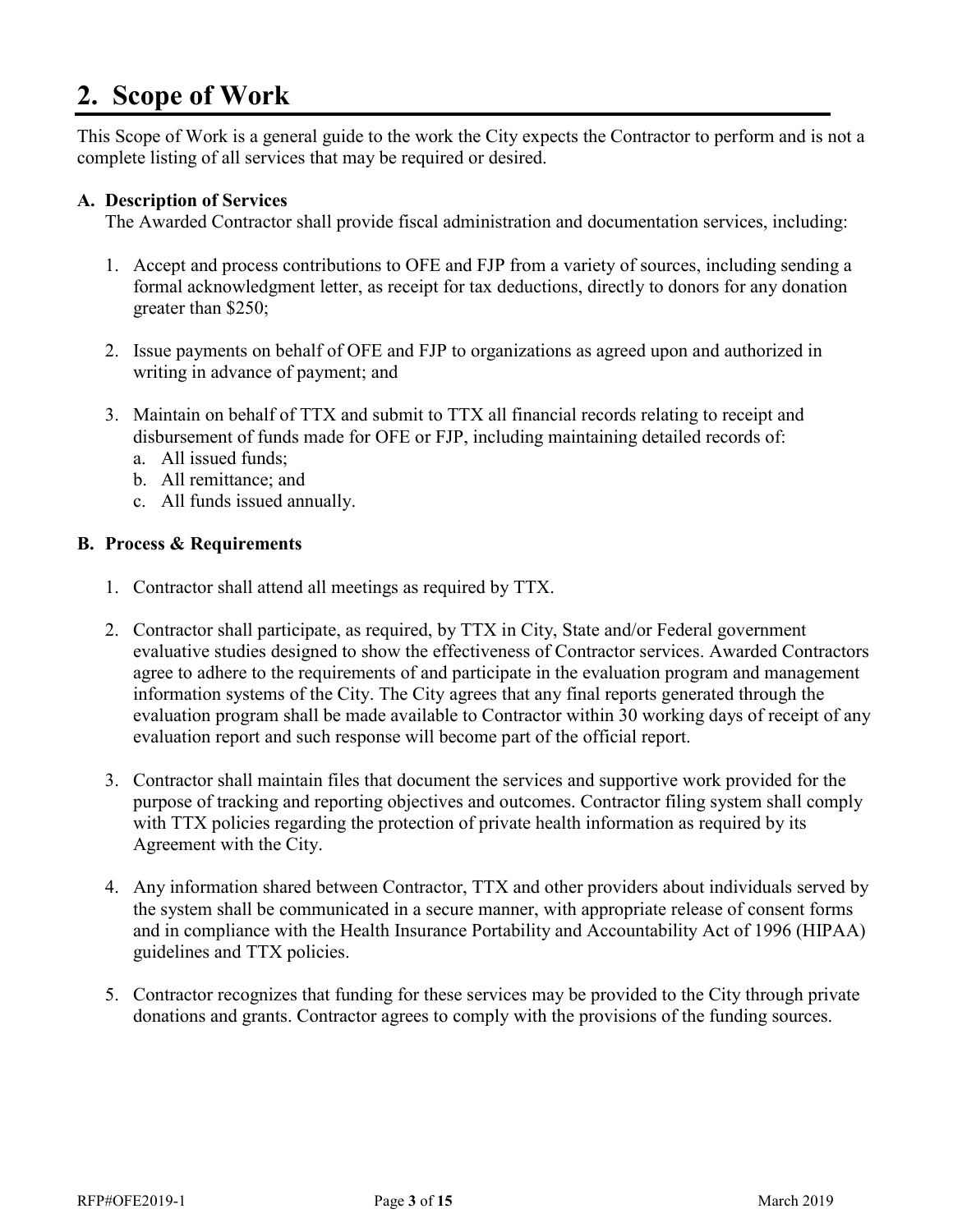# <span id="page-5-0"></span>**2. Scope of Work**

This Scope of Work is a general guide to the work the City expects the Contractor to perform and is not a complete listing of all services that may be required or desired.

#### <span id="page-5-1"></span>**A. Description of Services**

The Awarded Contractor shall provide fiscal administration and documentation services, including:

- 1. Accept and process contributions to OFE and FJP from a variety of sources, including sending a formal acknowledgment letter, as receipt for tax deductions, directly to donors for any donation greater than \$250;
- 2. Issue payments on behalf of OFE and FJP to organizations as agreed upon and authorized in writing in advance of payment; and
- 3. Maintain on behalf of TTX and submit to TTX all financial records relating to receipt and disbursement of funds made for OFE or FJP, including maintaining detailed records of:
	- a. All issued funds;
	- b. All remittance; and
	- c. All funds issued annually.

#### <span id="page-5-2"></span>**B. Process & Requirements**

- 1. Contractor shall attend all meetings as required by TTX.
- 2. Contractor shall participate, as required, by TTX in City, State and/or Federal government evaluative studies designed to show the effectiveness of Contractor services. Awarded Contractors agree to adhere to the requirements of and participate in the evaluation program and management information systems of the City. The City agrees that any final reports generated through the evaluation program shall be made available to Contractor within 30 working days of receipt of any evaluation report and such response will become part of the official report.
- 3. Contractor shall maintain files that document the services and supportive work provided for the purpose of tracking and reporting objectives and outcomes. Contractor filing system shall comply with TTX policies regarding the protection of private health information as required by its Agreement with the City.
- 4. Any information shared between Contractor, TTX and other providers about individuals served by the system shall be communicated in a secure manner, with appropriate release of consent forms and in compliance with the Health Insurance Portability and Accountability Act of 1996 (HIPAA) guidelines and TTX policies.
- 5. Contractor recognizes that funding for these services may be provided to the City through private donations and grants. Contractor agrees to comply with the provisions of the funding sources.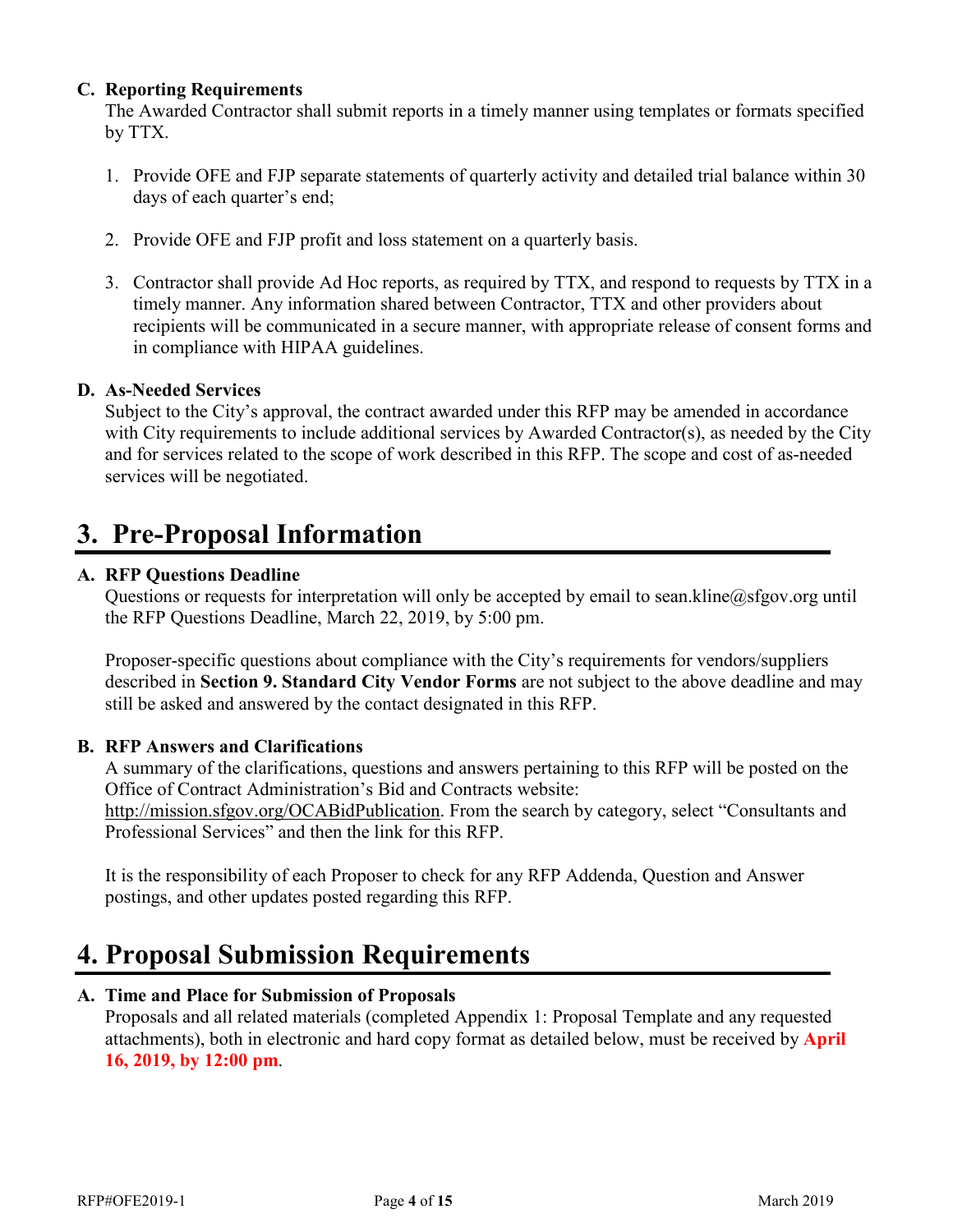#### <span id="page-6-0"></span>**C. Reporting Requirements**

The Awarded Contractor shall submit reports in a timely manner using templates or formats specified by TTX.

- 1. Provide OFE and FJP separate statements of quarterly activity and detailed trial balance within 30 days of each quarter's end;
- 2. Provide OFE and FJP profit and loss statement on a quarterly basis.
- 3. Contractor shall provide Ad Hoc reports, as required by TTX, and respond to requests by TTX in a timely manner. Any information shared between Contractor, TTX and other providers about recipients will be communicated in a secure manner, with appropriate release of consent forms and in compliance with HIPAA guidelines.

#### <span id="page-6-1"></span>**D. As-Needed Services**

Subject to the City's approval, the contract awarded under this RFP may be amended in accordance with City requirements to include additional services by Awarded Contractor(s), as needed by the City and for services related to the scope of work described in this RFP. The scope and cost of as-needed services will be negotiated.

# <span id="page-6-2"></span>**3. Pre-Proposal Information**

#### <span id="page-6-3"></span>**A. RFP Questions Deadline**

Questions or requests for interpretation will only be accepted by email to [sean.kline@sfgov.org](#page-0-3) until the RFP Questions Deadline, March 22, 2019, by 5:00 pm.

Proposer-specific questions about compliance with the City's requirements for vendors/suppliers described in **Section [9. Standard City Vendor Forms](#page-16-0)** are not subject to the above deadline and may still be asked and answered by the contact designated in this RFP.

#### <span id="page-6-4"></span>**B. RFP Answers and Clarifications**

A summary of the clarifications, questions and answers pertaining to this RFP will be posted on the Office of Contract Administration's Bid and Contracts website: [http://mission.sfgov.org/OCABidPublication.](http://mission.sfgov.org/OCABidPublication) From the search by category, select "Consultants and

Professional Services" and then the link for this RFP.

It is the responsibility of each Proposer to check for any RFP Addenda, Question and Answer postings, and other updates posted regarding this RFP.

# <span id="page-6-5"></span>**4. Proposal Submission Requirements**

#### <span id="page-6-6"></span>**A. Time and Place for Submission of Proposals**

Proposals and all related materials (completed Appendix 1: Proposal Template and any requested attachments), both in electronic and hard copy format as detailed below, must be received by **April 16, 2019, by 12:00 pm**.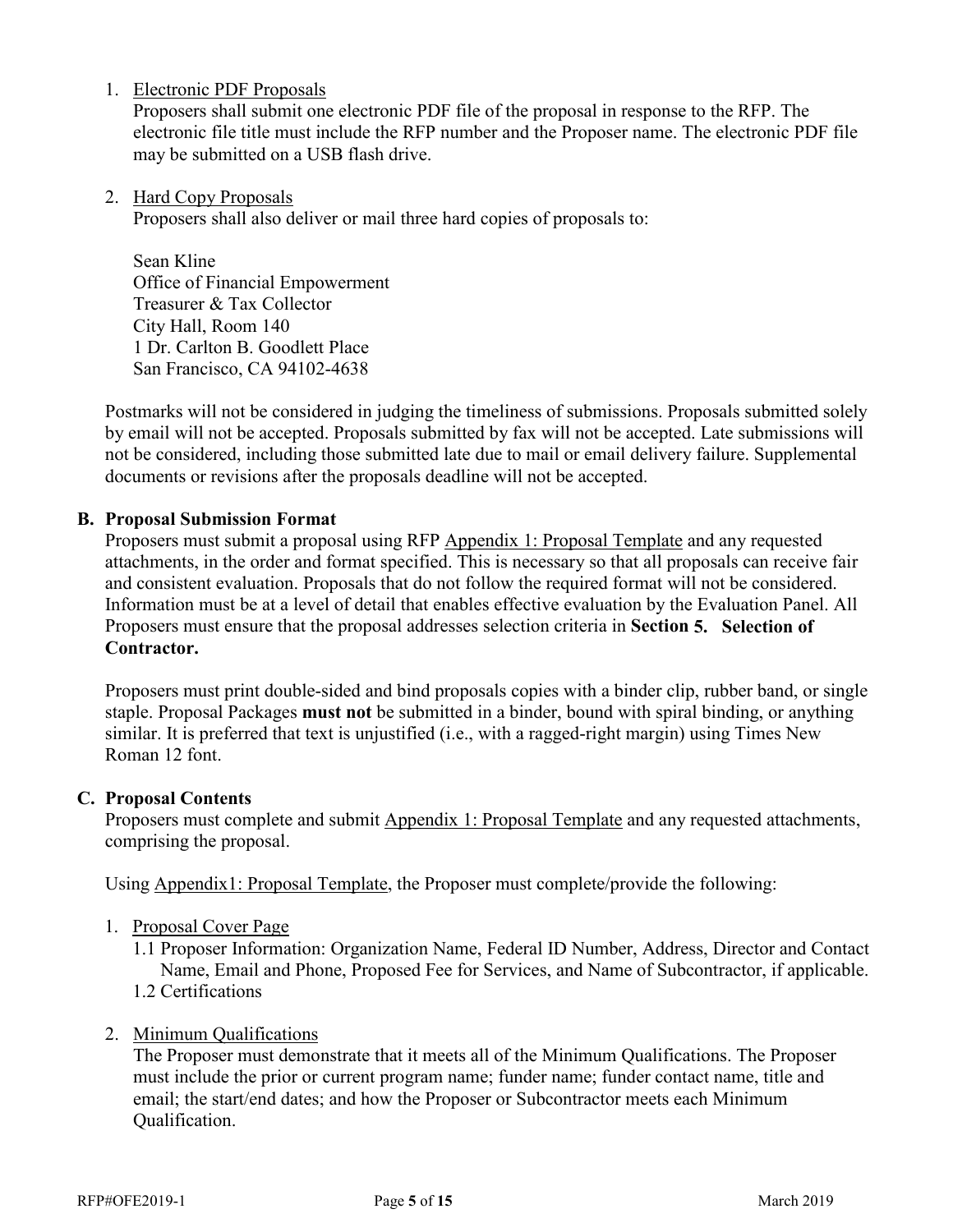1. Electronic PDF Proposals

Proposers shall submit one electronic PDF file of the proposal in response to the RFP. The electronic file title must include the RFP number and the Proposer name. The electronic PDF file may be submitted on a USB flash drive.

2. Hard Copy Proposals

Proposers shall also deliver or mail three hard copies of proposals to:

Sean Kline Office of Financial Empowerment Treasurer & Tax Collector City Hall, Room 140 1 Dr. Carlton B. Goodlett Place San Francisco, CA 94102-4638

Postmarks will not be considered in judging the timeliness of submissions. Proposals submitted solely by email will not be accepted. Proposals submitted by fax will not be accepted. Late submissions will not be considered, including those submitted late due to mail or email delivery failure. Supplemental documents or revisions after the proposals deadline will not be accepted.

#### <span id="page-7-0"></span>**B. Proposal Submission Format**

Proposers must submit a proposal using RFP Appendix 1: Proposal Template and any requested attachments, in the order and format specified. This is necessary so that all proposals can receive fair and consistent evaluation. Proposals that do not follow the required format will not be considered. Information must be at a level of detail that enables effective evaluation by the Evaluation Panel. All Proposers must ensure that the proposal addresses selection criteria in **Section [5. Selection of](#page-8-0)  [Contractor.](#page-8-0)**

Proposers must print double-sided and bind proposals copies with a binder clip, rubber band, or single staple. Proposal Packages **must not** be submitted in a binder, bound with spiral binding, or anything similar. It is preferred that text is unjustified (i.e., with a ragged-right margin) using Times New Roman 12 font.

#### <span id="page-7-1"></span>**C. Proposal Contents**

Proposers must complete and submit Appendix 1: Proposal Template and any requested attachments, comprising the proposal.

Using Appendix1: Proposal Template, the Proposer must complete/provide the following:

- 1. Proposal Cover Page
	- 1.1 Proposer Information: Organization Name, Federal ID Number, Address, Director and Contact Name, Email and Phone, Proposed Fee for Services, and Name of Subcontractor, if applicable. 1.2 Certifications
- 2. Minimum Qualifications

The Proposer must demonstrate that it meets all of the Minimum Qualifications. The Proposer must include the prior or current program name; funder name; funder contact name, title and email; the start/end dates; and how the Proposer or Subcontractor meets each Minimum Qualification.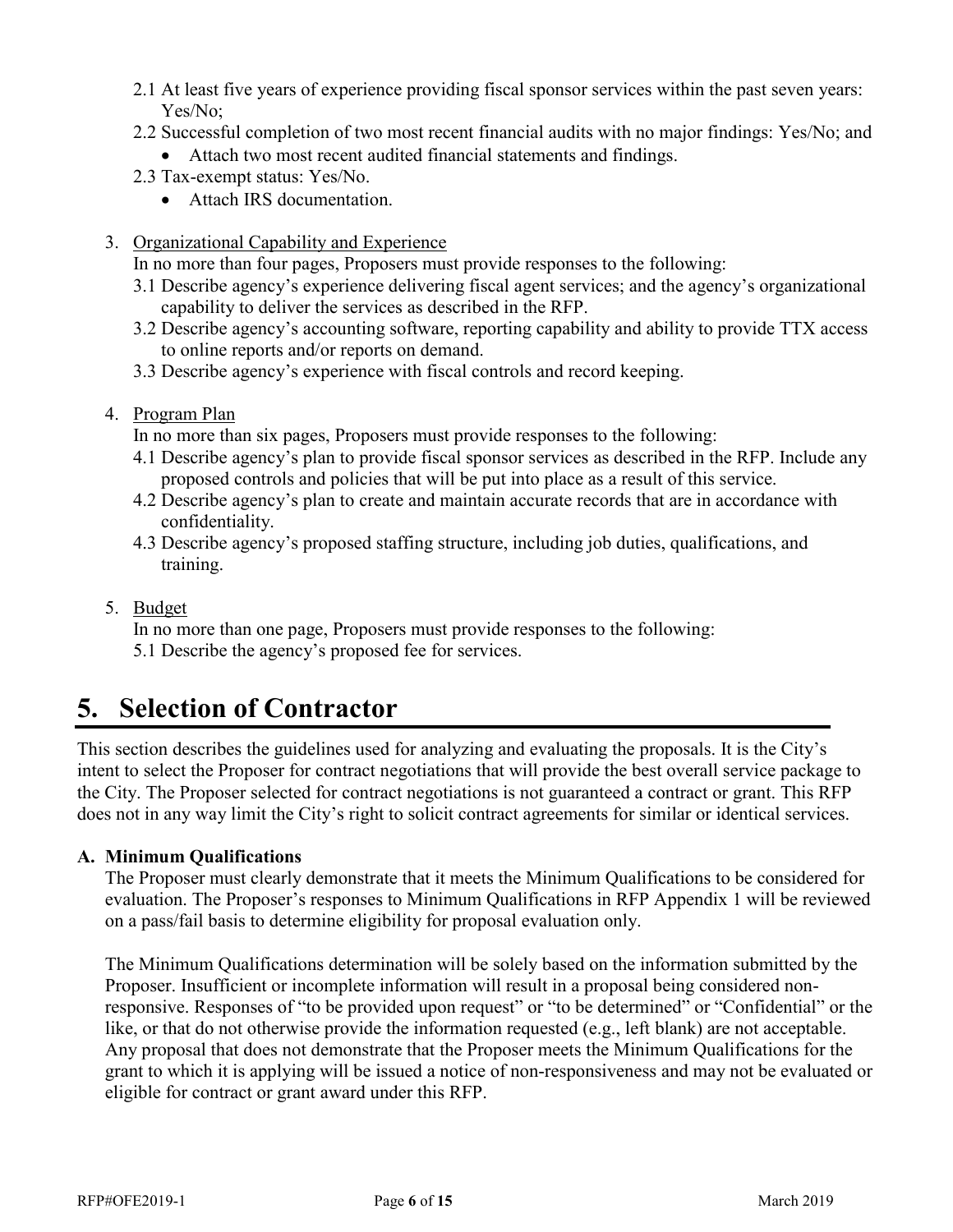- 2.1 At least five years of experience providing fiscal sponsor services within the past seven years: Yes/No;
- 2.2 Successful completion of two most recent financial audits with no major findings: Yes/No; and • Attach two most recent audited financial statements and findings.
- 2.3 Tax-exempt status: Yes/No.
	- Attach IRS documentation.
- 3. Organizational Capability and Experience

In no more than four pages, Proposers must provide responses to the following:

- 3.1 Describe agency's experience delivering fiscal agent services; and the agency's organizational capability to deliver the services as described in the RFP.
- 3.2 Describe agency's accounting software, reporting capability and ability to provide TTX access to online reports and/or reports on demand.
- 3.3 Describe agency's experience with fiscal controls and record keeping.
- 4. Program Plan

In no more than six pages, Proposers must provide responses to the following:

- 4.1 Describe agency's plan to provide fiscal sponsor services as described in the RFP. Include any proposed controls and policies that will be put into place as a result of this service.
- 4.2 Describe agency's plan to create and maintain accurate records that are in accordance with confidentiality.
- 4.3 Describe agency's proposed staffing structure, including job duties, qualifications, and training.
- 5. Budget

In no more than one page, Proposers must provide responses to the following:

5.1 Describe the agency's proposed fee for services.

# <span id="page-8-0"></span>**5. Selection of Contractor**

This section describes the guidelines used for analyzing and evaluating the proposals. It is the City's intent to select the Proposer for contract negotiations that will provide the best overall service package to the City. The Proposer selected for contract negotiations is not guaranteed a contract or grant. This RFP does not in any way limit the City's right to solicit contract agreements for similar or identical services.

#### <span id="page-8-1"></span>**A. Minimum Qualifications**

The Proposer must clearly demonstrate that it meets the Minimum Qualifications to be considered for evaluation. The Proposer's responses to Minimum Qualifications in RFP Appendix 1 will be reviewed on a pass/fail basis to determine eligibility for proposal evaluation only.

The Minimum Qualifications determination will be solely based on the information submitted by the Proposer. Insufficient or incomplete information will result in a proposal being considered nonresponsive. Responses of "to be provided upon request" or "to be determined" or "Confidential" or the like, or that do not otherwise provide the information requested (e.g., left blank) are not acceptable. Any proposal that does not demonstrate that the Proposer meets the Minimum Qualifications for the grant to which it is applying will be issued a notice of non-responsiveness and may not be evaluated or eligible for contract or grant award under this RFP.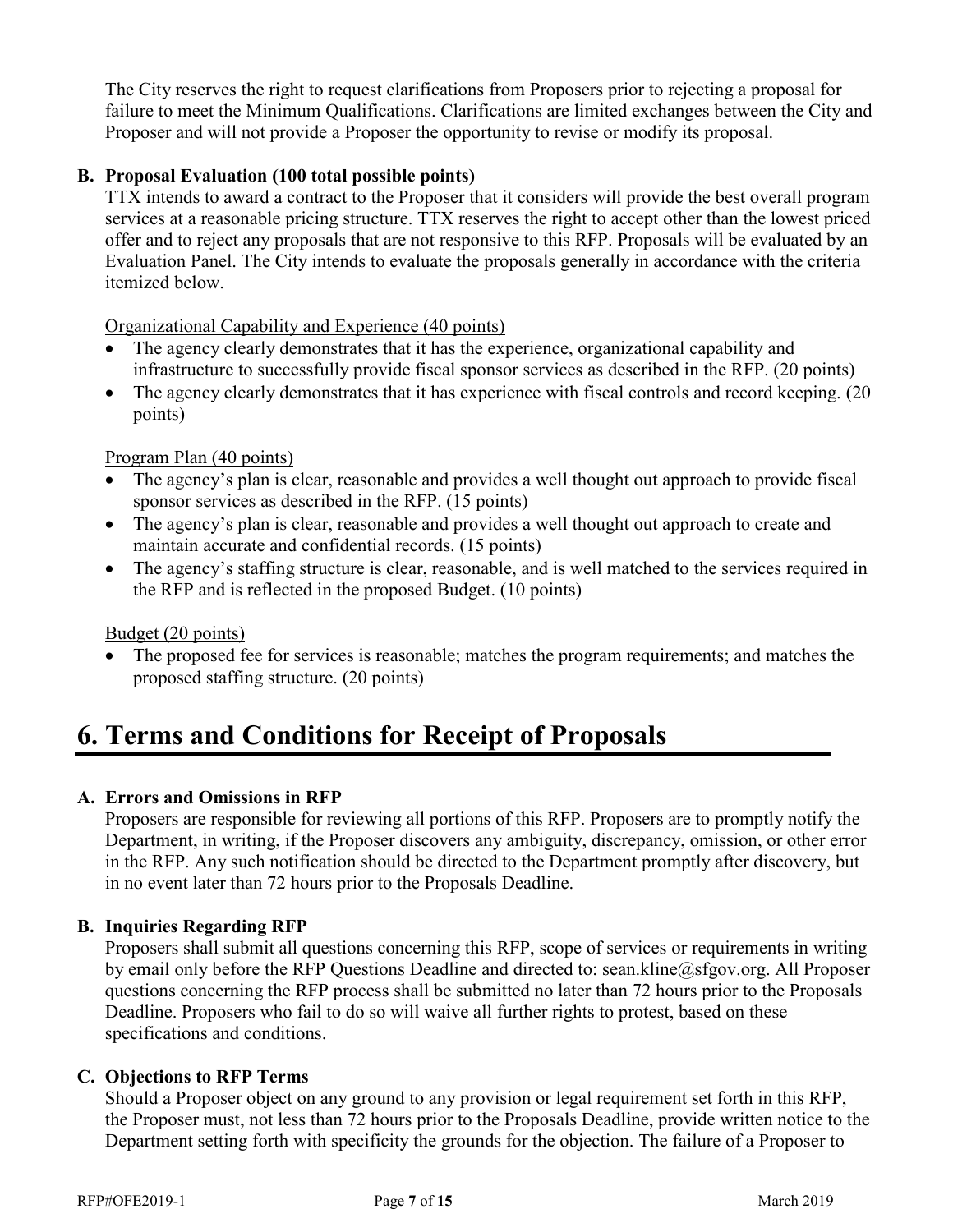The City reserves the right to request clarifications from Proposers prior to rejecting a proposal for failure to meet the Minimum Qualifications. Clarifications are limited exchanges between the City and Proposer and will not provide a Proposer the opportunity to revise or modify its proposal.

#### <span id="page-9-0"></span>**B. Proposal Evaluation (100 total possible points)**

TTX intends to award a contract to the Proposer that it considers will provide the best overall program services at a reasonable pricing structure. TTX reserves the right to accept other than the lowest priced offer and to reject any proposals that are not responsive to this RFP. Proposals will be evaluated by an Evaluation Panel. The City intends to evaluate the proposals generally in accordance with the criteria itemized below.

Organizational Capability and Experience (40 points)

- The agency clearly demonstrates that it has the experience, organizational capability and infrastructure to successfully provide fiscal sponsor services as described in the RFP. (20 points)
- The agency clearly demonstrates that it has experience with fiscal controls and record keeping. (20) points)

#### Program Plan (40 points)

- The agency's plan is clear, reasonable and provides a well thought out approach to provide fiscal sponsor services as described in the RFP. (15 points)
- The agency's plan is clear, reasonable and provides a well thought out approach to create and maintain accurate and confidential records. (15 points)
- The agency's staffing structure is clear, reasonable, and is well matched to the services required in the RFP and is reflected in the proposed Budget. (10 points)

#### Budget (20 points)

• The proposed fee for services is reasonable; matches the program requirements; and matches the proposed staffing structure. (20 points)

# <span id="page-9-1"></span>**6. Terms and Conditions for Receipt of Proposals**

#### <span id="page-9-2"></span>**A. Errors and Omissions in RFP**

Proposers are responsible for reviewing all portions of this RFP. Proposers are to promptly notify the Department, in writing, if the Proposer discovers any ambiguity, discrepancy, omission, or other error in the RFP. Any such notification should be directed to the Department promptly after discovery, but in no event later than 72 hours prior to the Proposals Deadline.

#### <span id="page-9-3"></span>**B. Inquiries Regarding RFP**

Proposers shall submit all questions concerning this RFP, scope of services or requirements in writing by email only before the RFP Questions Deadline and directed to: [sean.kline@sfgov.org.](#page-0-3) All Proposer questions concerning the RFP process shall be submitted no later than 72 hours prior to the Proposals Deadline. Proposers who fail to do so will waive all further rights to protest, based on these specifications and conditions.

#### <span id="page-9-4"></span>**C. Objections to RFP Terms**

Should a Proposer object on any ground to any provision or legal requirement set forth in this RFP, the Proposer must, not less than 72 hours prior to the Proposals Deadline, provide written notice to the Department setting forth with specificity the grounds for the objection. The failure of a Proposer to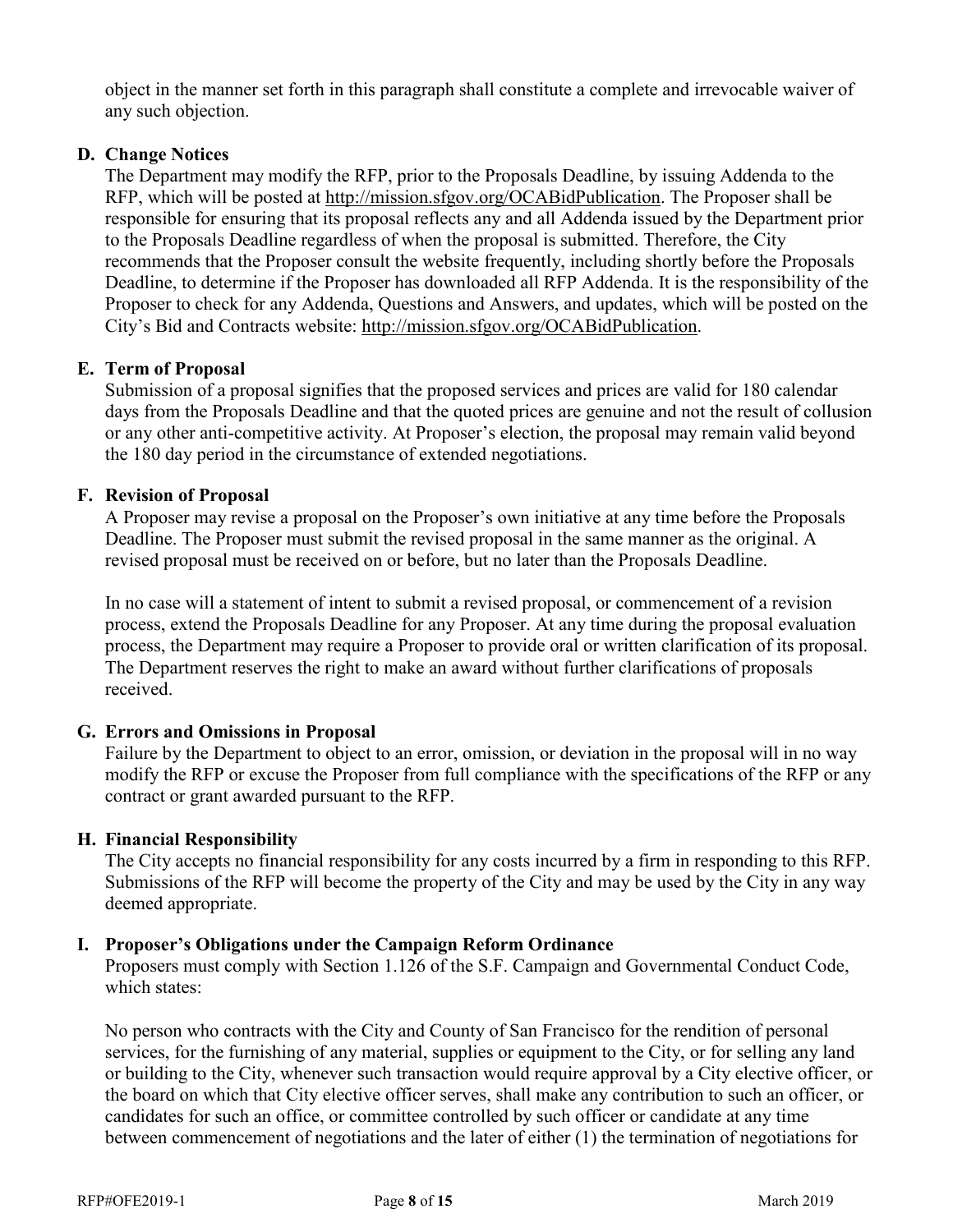object in the manner set forth in this paragraph shall constitute a complete and irrevocable waiver of any such objection.

#### <span id="page-10-0"></span>**D. Change Notices**

The Department may modify the RFP, prior to the Proposals Deadline, by issuing Addenda to the RFP, which will be posted at [http://mission.sfgov.org/OCABidPublication.](http://mission.sfgov.org/OCABidPublication) The Proposer shall be responsible for ensuring that its proposal reflects any and all Addenda issued by the Department prior to the Proposals Deadline regardless of when the proposal is submitted. Therefore, the City recommends that the Proposer consult the website frequently, including shortly before the Proposals Deadline, to determine if the Proposer has downloaded all RFP Addenda. It is the responsibility of the Proposer to check for any Addenda, Questions and Answers, and updates, which will be posted on the City's Bid and Contracts website: [http://mission.sfgov.org/OCABidPublication.](http://mission.sfgov.org/OCABidPublication)

#### <span id="page-10-1"></span>**E. Term of Proposal**

Submission of a proposal signifies that the proposed services and prices are valid for 180 calendar days from the Proposals Deadline and that the quoted prices are genuine and not the result of collusion or any other anti-competitive activity. At Proposer's election, the proposal may remain valid beyond the 180 day period in the circumstance of extended negotiations.

#### <span id="page-10-2"></span>**F. Revision of Proposal**

A Proposer may revise a proposal on the Proposer's own initiative at any time before the Proposals Deadline. The Proposer must submit the revised proposal in the same manner as the original. A revised proposal must be received on or before, but no later than the Proposals Deadline.

In no case will a statement of intent to submit a revised proposal, or commencement of a revision process, extend the Proposals Deadline for any Proposer. At any time during the proposal evaluation process, the Department may require a Proposer to provide oral or written clarification of its proposal. The Department reserves the right to make an award without further clarifications of proposals received.

## <span id="page-10-3"></span>**G. Errors and Omissions in Proposal**

Failure by the Department to object to an error, omission, or deviation in the proposal will in no way modify the RFP or excuse the Proposer from full compliance with the specifications of the RFP or any contract or grant awarded pursuant to the RFP.

#### <span id="page-10-4"></span>**H. Financial Responsibility**

The City accepts no financial responsibility for any costs incurred by a firm in responding to this RFP. Submissions of the RFP will become the property of the City and may be used by the City in any way deemed appropriate.

#### <span id="page-10-5"></span>**I. Proposer's Obligations under the Campaign Reform Ordinance**

Proposers must comply with Section 1.126 of the S.F. Campaign and Governmental Conduct Code, which states:

No person who contracts with the City and County of San Francisco for the rendition of personal services, for the furnishing of any material, supplies or equipment to the City, or for selling any land or building to the City, whenever such transaction would require approval by a City elective officer, or the board on which that City elective officer serves, shall make any contribution to such an officer, or candidates for such an office, or committee controlled by such officer or candidate at any time between commencement of negotiations and the later of either (1) the termination of negotiations for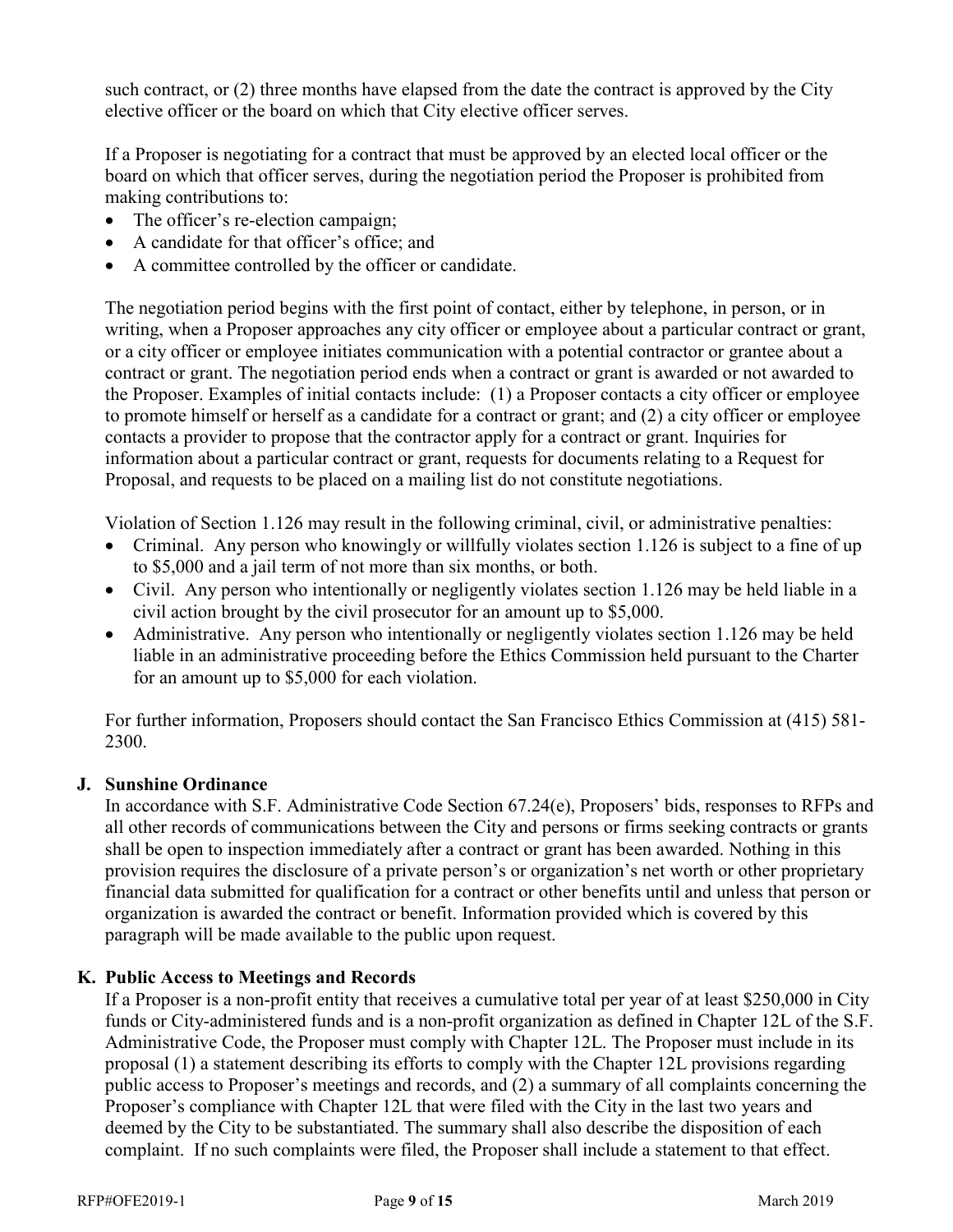such contract, or (2) three months have elapsed from the date the contract is approved by the City elective officer or the board on which that City elective officer serves.

If a Proposer is negotiating for a contract that must be approved by an elected local officer or the board on which that officer serves, during the negotiation period the Proposer is prohibited from making contributions to:

- The officer's re-election campaign;
- A candidate for that officer's office; and
- A committee controlled by the officer or candidate.

The negotiation period begins with the first point of contact, either by telephone, in person, or in writing, when a Proposer approaches any city officer or employee about a particular contract or grant, or a city officer or employee initiates communication with a potential contractor or grantee about a contract or grant. The negotiation period ends when a contract or grant is awarded or not awarded to the Proposer. Examples of initial contacts include: (1) a Proposer contacts a city officer or employee to promote himself or herself as a candidate for a contract or grant; and (2) a city officer or employee contacts a provider to propose that the contractor apply for a contract or grant. Inquiries for information about a particular contract or grant, requests for documents relating to a Request for Proposal, and requests to be placed on a mailing list do not constitute negotiations.

Violation of Section 1.126 may result in the following criminal, civil, or administrative penalties:

- Criminal. Any person who knowingly or willfully violates section 1.126 is subject to a fine of up to \$5,000 and a jail term of not more than six months, or both.
- Civil. Any person who intentionally or negligently violates section 1.126 may be held liable in a civil action brought by the civil prosecutor for an amount up to \$5,000.
- Administrative. Any person who intentionally or negligently violates section 1.126 may be held liable in an administrative proceeding before the Ethics Commission held pursuant to the Charter for an amount up to \$5,000 for each violation.

For further information, Proposers should contact the San Francisco Ethics Commission at (415) 581- 2300.

#### <span id="page-11-0"></span>**J. Sunshine Ordinance**

In accordance with S.F. Administrative Code Section 67.24(e), Proposers' bids, responses to RFPs and all other records of communications between the City and persons or firms seeking contracts or grants shall be open to inspection immediately after a contract or grant has been awarded. Nothing in this provision requires the disclosure of a private person's or organization's net worth or other proprietary financial data submitted for qualification for a contract or other benefits until and unless that person or organization is awarded the contract or benefit. Information provided which is covered by this paragraph will be made available to the public upon request.

#### <span id="page-11-1"></span>**K. Public Access to Meetings and Records**

If a Proposer is a non-profit entity that receives a cumulative total per year of at least \$250,000 in City funds or City-administered funds and is a non-profit organization as defined in Chapter 12L of the S.F. Administrative Code, the Proposer must comply with Chapter 12L. The Proposer must include in its proposal (1) a statement describing its efforts to comply with the Chapter 12L provisions regarding public access to Proposer's meetings and records, and (2) a summary of all complaints concerning the Proposer's compliance with Chapter 12L that were filed with the City in the last two years and deemed by the City to be substantiated. The summary shall also describe the disposition of each complaint. If no such complaints were filed, the Proposer shall include a statement to that effect.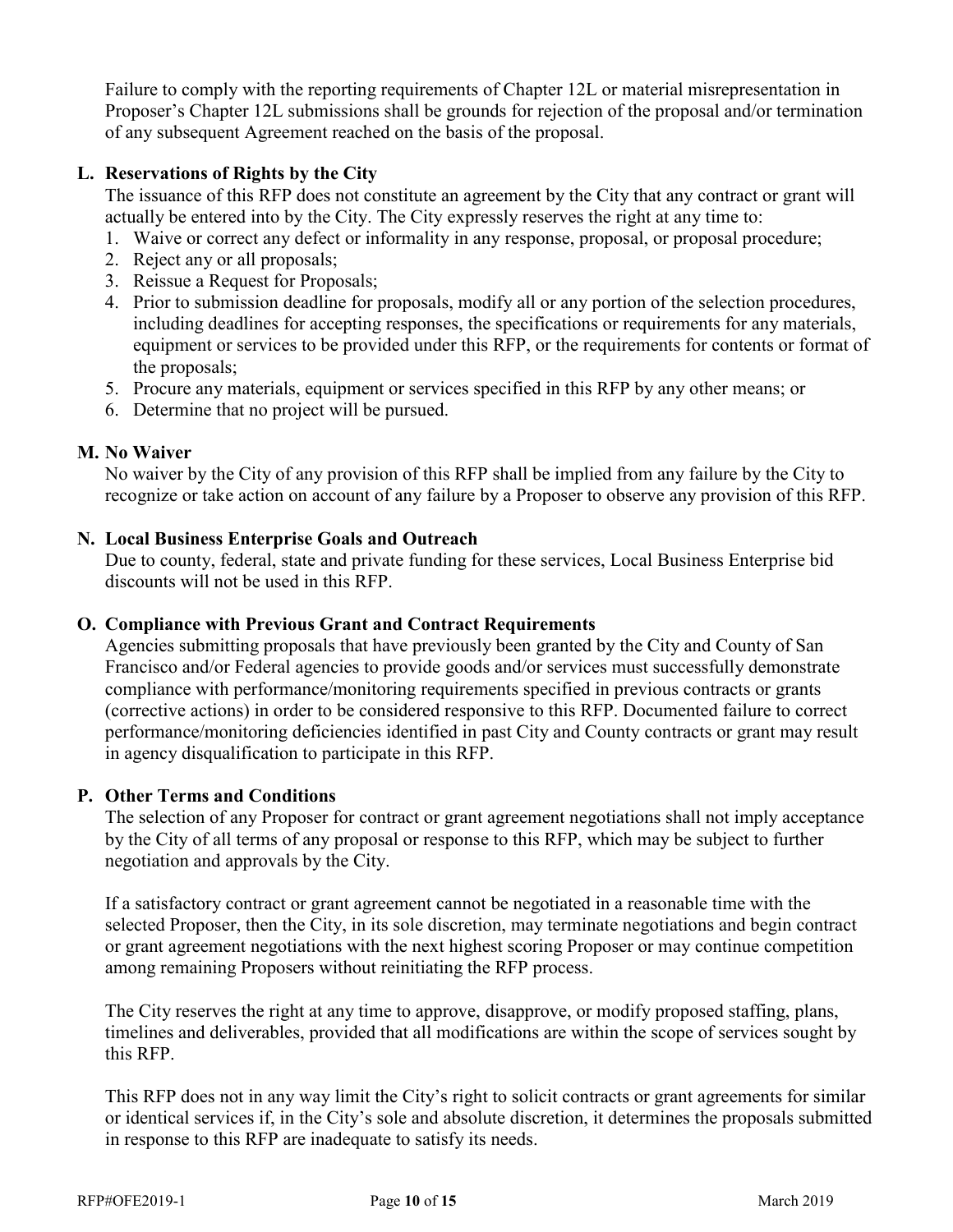Failure to comply with the reporting requirements of Chapter 12L or material misrepresentation in Proposer's Chapter 12L submissions shall be grounds for rejection of the proposal and/or termination of any subsequent Agreement reached on the basis of the proposal.

### <span id="page-12-0"></span>**L. Reservations of Rights by the City**

The issuance of this RFP does not constitute an agreement by the City that any contract or grant will actually be entered into by the City. The City expressly reserves the right at any time to:

- 1. Waive or correct any defect or informality in any response, proposal, or proposal procedure;
- 2. Reject any or all proposals;
- 3. Reissue a Request for Proposals;
- 4. Prior to submission deadline for proposals, modify all or any portion of the selection procedures, including deadlines for accepting responses, the specifications or requirements for any materials, equipment or services to be provided under this RFP, or the requirements for contents or format of the proposals;
- 5. Procure any materials, equipment or services specified in this RFP by any other means; or
- 6. Determine that no project will be pursued.

#### <span id="page-12-1"></span>**M. No Waiver**

No waiver by the City of any provision of this RFP shall be implied from any failure by the City to recognize or take action on account of any failure by a Proposer to observe any provision of this RFP.

#### <span id="page-12-2"></span>**N. Local Business Enterprise Goals and Outreach**

Due to county, federal, state and private funding for these services, Local Business Enterprise bid discounts will not be used in this RFP.

#### <span id="page-12-3"></span>**O. Compliance with Previous Grant and Contract Requirements**

Agencies submitting proposals that have previously been granted by the City and County of San Francisco and/or Federal agencies to provide goods and/or services must successfully demonstrate compliance with performance/monitoring requirements specified in previous contracts or grants (corrective actions) in order to be considered responsive to this RFP. Documented failure to correct performance/monitoring deficiencies identified in past City and County contracts or grant may result in agency disqualification to participate in this RFP.

#### <span id="page-12-4"></span>**P. Other Terms and Conditions**

The selection of any Proposer for contract or grant agreement negotiations shall not imply acceptance by the City of all terms of any proposal or response to this RFP, which may be subject to further negotiation and approvals by the City.

If a satisfactory contract or grant agreement cannot be negotiated in a reasonable time with the selected Proposer, then the City, in its sole discretion, may terminate negotiations and begin contract or grant agreement negotiations with the next highest scoring Proposer or may continue competition among remaining Proposers without reinitiating the RFP process.

The City reserves the right at any time to approve, disapprove, or modify proposed staffing, plans, timelines and deliverables, provided that all modifications are within the scope of services sought by this RFP.

This RFP does not in any way limit the City's right to solicit contracts or grant agreements for similar or identical services if, in the City's sole and absolute discretion, it determines the proposals submitted in response to this RFP are inadequate to satisfy its needs.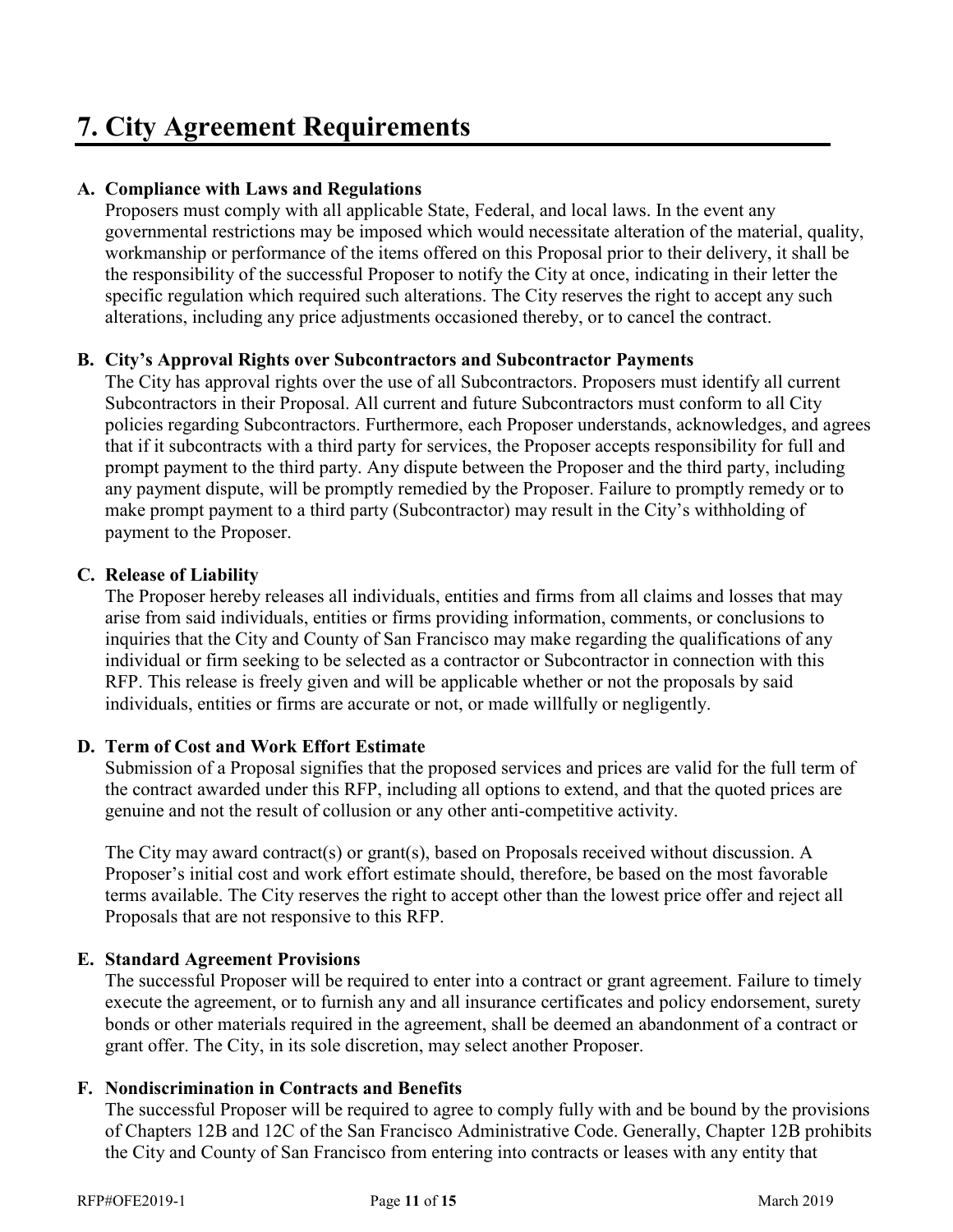# <span id="page-13-0"></span>**7. City Agreement Requirements**

#### <span id="page-13-1"></span>**A. Compliance with Laws and Regulations**

Proposers must comply with all applicable State, Federal, and local laws. In the event any governmental restrictions may be imposed which would necessitate alteration of the material, quality, workmanship or performance of the items offered on this Proposal prior to their delivery, it shall be the responsibility of the successful Proposer to notify the City at once, indicating in their letter the specific regulation which required such alterations. The City reserves the right to accept any such alterations, including any price adjustments occasioned thereby, or to cancel the contract.

#### <span id="page-13-2"></span>**B. City's Approval Rights over Subcontractors and Subcontractor Payments**

The City has approval rights over the use of all Subcontractors. Proposers must identify all current Subcontractors in their Proposal. All current and future Subcontractors must conform to all City policies regarding Subcontractors. Furthermore, each Proposer understands, acknowledges, and agrees that if it subcontracts with a third party for services, the Proposer accepts responsibility for full and prompt payment to the third party. Any dispute between the Proposer and the third party, including any payment dispute, will be promptly remedied by the Proposer. Failure to promptly remedy or to make prompt payment to a third party (Subcontractor) may result in the City's withholding of payment to the Proposer.

#### <span id="page-13-3"></span>**C. Release of Liability**

The Proposer hereby releases all individuals, entities and firms from all claims and losses that may arise from said individuals, entities or firms providing information, comments, or conclusions to inquiries that the City and County of San Francisco may make regarding the qualifications of any individual or firm seeking to be selected as a contractor or Subcontractor in connection with this RFP. This release is freely given and will be applicable whether or not the proposals by said individuals, entities or firms are accurate or not, or made willfully or negligently.

#### <span id="page-13-4"></span>**D. Term of Cost and Work Effort Estimate**

Submission of a Proposal signifies that the proposed services and prices are valid for the full term of the contract awarded under this RFP, including all options to extend, and that the quoted prices are genuine and not the result of collusion or any other anti-competitive activity.

The City may award contract(s) or grant(s), based on Proposals received without discussion. A Proposer's initial cost and work effort estimate should, therefore, be based on the most favorable terms available. The City reserves the right to accept other than the lowest price offer and reject all Proposals that are not responsive to this RFP.

#### <span id="page-13-5"></span>**E. Standard Agreement Provisions**

The successful Proposer will be required to enter into a contract or grant agreement. Failure to timely execute the agreement, or to furnish any and all insurance certificates and policy endorsement, surety bonds or other materials required in the agreement, shall be deemed an abandonment of a contract or grant offer. The City, in its sole discretion, may select another Proposer.

#### <span id="page-13-6"></span>**F. Nondiscrimination in Contracts and Benefits**

The successful Proposer will be required to agree to comply fully with and be bound by the provisions of Chapters 12B and 12C of the San Francisco Administrative Code. Generally, Chapter 12B prohibits the City and County of San Francisco from entering into contracts or leases with any entity that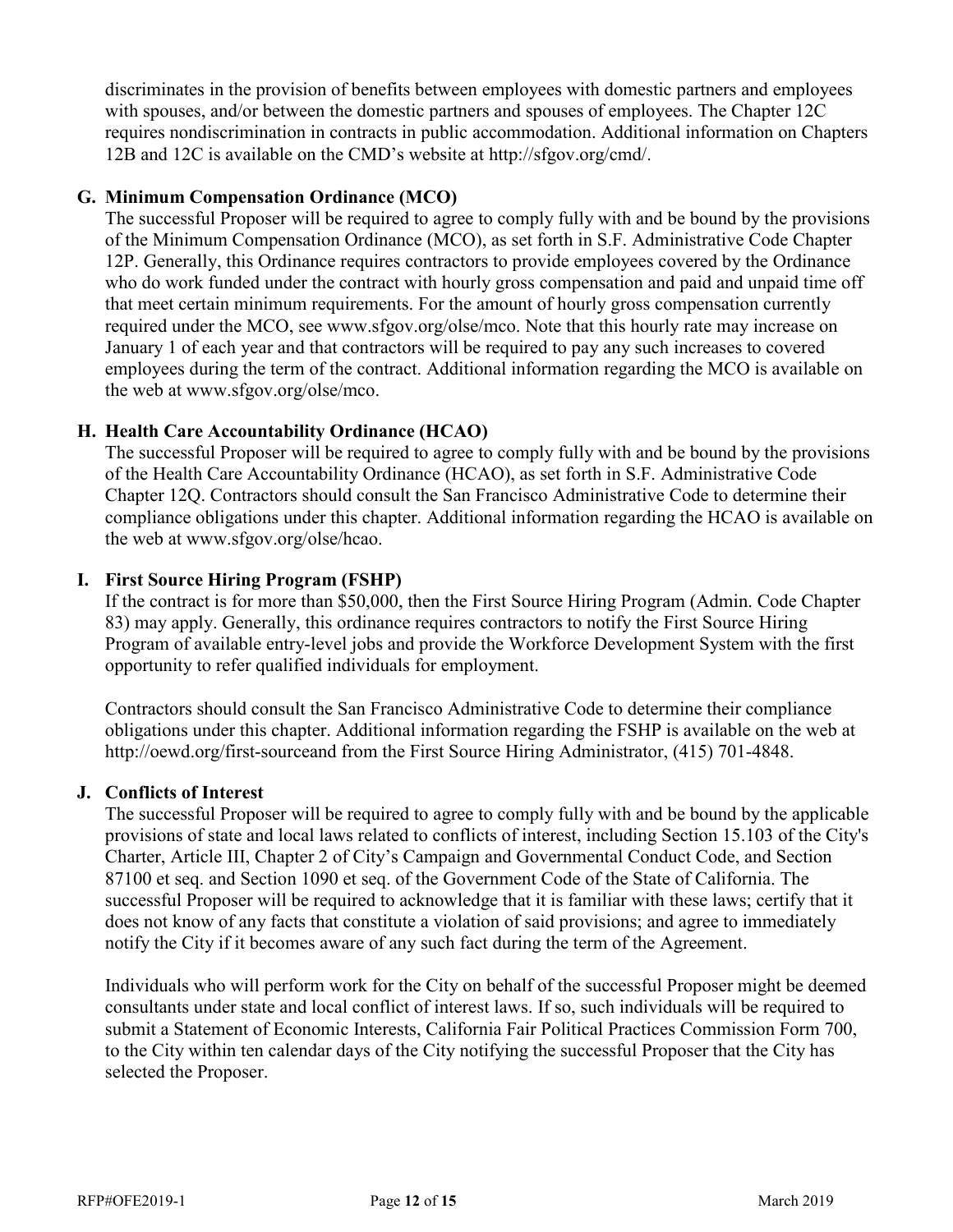discriminates in the provision of benefits between employees with domestic partners and employees with spouses, and/or between the domestic partners and spouses of employees. The Chapter 12C requires nondiscrimination in contracts in public accommodation. Additional information on Chapters 12B and 12C is available on the CMD's website at http://sfgov.org/cmd/.

#### <span id="page-14-0"></span>**G. Minimum Compensation Ordinance (MCO)**

The successful Proposer will be required to agree to comply fully with and be bound by the provisions of the Minimum Compensation Ordinance (MCO), as set forth in S.F. Administrative Code Chapter 12P. Generally, this Ordinance requires contractors to provide employees covered by the Ordinance who do work funded under the contract with hourly gross compensation and paid and unpaid time off that meet certain minimum requirements. For the amount of hourly gross compensation currently required under the MCO, see www.sfgov.org/olse/mco. Note that this hourly rate may increase on January 1 of each year and that contractors will be required to pay any such increases to covered employees during the term of the contract. Additional information regarding the MCO is available on the web at www.sfgov.org/olse/mco.

#### <span id="page-14-1"></span>**H. Health Care Accountability Ordinance (HCAO)**

The successful Proposer will be required to agree to comply fully with and be bound by the provisions of the Health Care Accountability Ordinance (HCAO), as set forth in S.F. Administrative Code Chapter 12Q. Contractors should consult the San Francisco Administrative Code to determine their compliance obligations under this chapter. Additional information regarding the HCAO is available on the web at www.sfgov.org/olse/hcao.

#### <span id="page-14-2"></span>**I. First Source Hiring Program (FSHP)**

If the contract is for more than \$50,000, then the First Source Hiring Program (Admin. Code Chapter 83) may apply. Generally, this ordinance requires contractors to notify the First Source Hiring Program of available entry-level jobs and provide the Workforce Development System with the first opportunity to refer qualified individuals for employment.

Contractors should consult the San Francisco Administrative Code to determine their compliance obligations under this chapter. Additional information regarding the FSHP is available on the web at http://oewd.org/first-sourceand from the First Source Hiring Administrator, (415) 701-4848.

#### <span id="page-14-3"></span>**J. Conflicts of Interest**

The successful Proposer will be required to agree to comply fully with and be bound by the applicable provisions of state and local laws related to conflicts of interest, including Section 15.103 of the City's Charter, Article III, Chapter 2 of City's Campaign and Governmental Conduct Code, and Section 87100 et seq. and Section 1090 et seq. of the Government Code of the State of California. The successful Proposer will be required to acknowledge that it is familiar with these laws; certify that it does not know of any facts that constitute a violation of said provisions; and agree to immediately notify the City if it becomes aware of any such fact during the term of the Agreement.

Individuals who will perform work for the City on behalf of the successful Proposer might be deemed consultants under state and local conflict of interest laws. If so, such individuals will be required to submit a Statement of Economic Interests, California Fair Political Practices Commission Form 700, to the City within ten calendar days of the City notifying the successful Proposer that the City has selected the Proposer.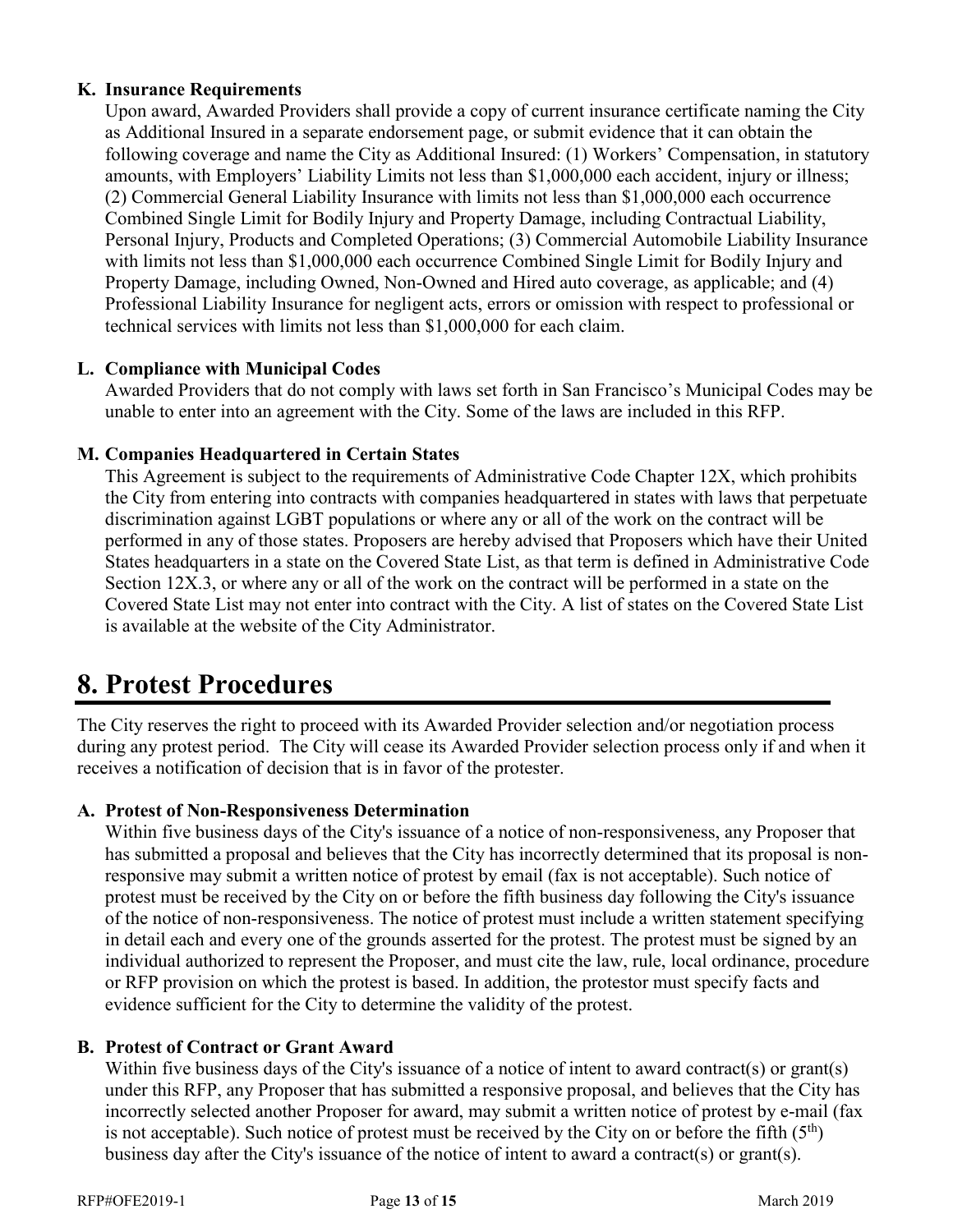#### <span id="page-15-0"></span>**K. Insurance Requirements**

Upon award, Awarded Providers shall provide a copy of current insurance certificate naming the City as Additional Insured in a separate endorsement page, or submit evidence that it can obtain the following coverage and name the City as Additional Insured: (1) Workers' Compensation, in statutory amounts, with Employers' Liability Limits not less than \$1,000,000 each accident, injury or illness; (2) Commercial General Liability Insurance with limits not less than \$1,000,000 each occurrence Combined Single Limit for Bodily Injury and Property Damage, including Contractual Liability, Personal Injury, Products and Completed Operations; (3) Commercial Automobile Liability Insurance with limits not less than \$1,000,000 each occurrence Combined Single Limit for Bodily Injury and Property Damage, including Owned, Non-Owned and Hired auto coverage, as applicable; and (4) Professional Liability Insurance for negligent acts, errors or omission with respect to professional or technical services with limits not less than \$1,000,000 for each claim.

#### <span id="page-15-1"></span>**L. Compliance with Municipal Codes**

Awarded Providers that do not comply with laws set forth in San Francisco's Municipal Codes may be unable to enter into an agreement with the City. Some of the laws are included in this RFP.

#### <span id="page-15-2"></span>**M. Companies Headquartered in Certain States**

This Agreement is subject to the requirements of Administrative Code Chapter 12X, which prohibits the City from entering into contracts with companies headquartered in states with laws that perpetuate discrimination against LGBT populations or where any or all of the work on the contract will be performed in any of those states. Proposers are hereby advised that Proposers which have their United States headquarters in a state on the Covered State List, as that term is defined in Administrative Code Section 12X.3, or where any or all of the work on the contract will be performed in a state on the Covered State List may not enter into contract with the City. A list of states on the Covered State List is available at the website of the City Administrator.

# <span id="page-15-3"></span>**8. Protest Procedures**

The City reserves the right to proceed with its Awarded Provider selection and/or negotiation process during any protest period. The City will cease its Awarded Provider selection process only if and when it receives a notification of decision that is in favor of the protester.

#### <span id="page-15-4"></span>**A. Protest of Non-Responsiveness Determination**

Within five business days of the City's issuance of a notice of non-responsiveness, any Proposer that has submitted a proposal and believes that the City has incorrectly determined that its proposal is nonresponsive may submit a written notice of protest by email (fax is not acceptable). Such notice of protest must be received by the City on or before the fifth business day following the City's issuance of the notice of non-responsiveness. The notice of protest must include a written statement specifying in detail each and every one of the grounds asserted for the protest. The protest must be signed by an individual authorized to represent the Proposer, and must cite the law, rule, local ordinance, procedure or RFP provision on which the protest is based. In addition, the protestor must specify facts and evidence sufficient for the City to determine the validity of the protest.

#### <span id="page-15-5"></span>**B. Protest of Contract or Grant Award**

Within five business days of the City's issuance of a notice of intent to award contract(s) or grant(s) under this RFP, any Proposer that has submitted a responsive proposal, and believes that the City has incorrectly selected another Proposer for award, may submit a written notice of protest by e-mail (fax is not acceptable). Such notice of protest must be received by the City on or before the fifth  $(5<sup>th</sup>)$ business day after the City's issuance of the notice of intent to award a contract(s) or grant(s).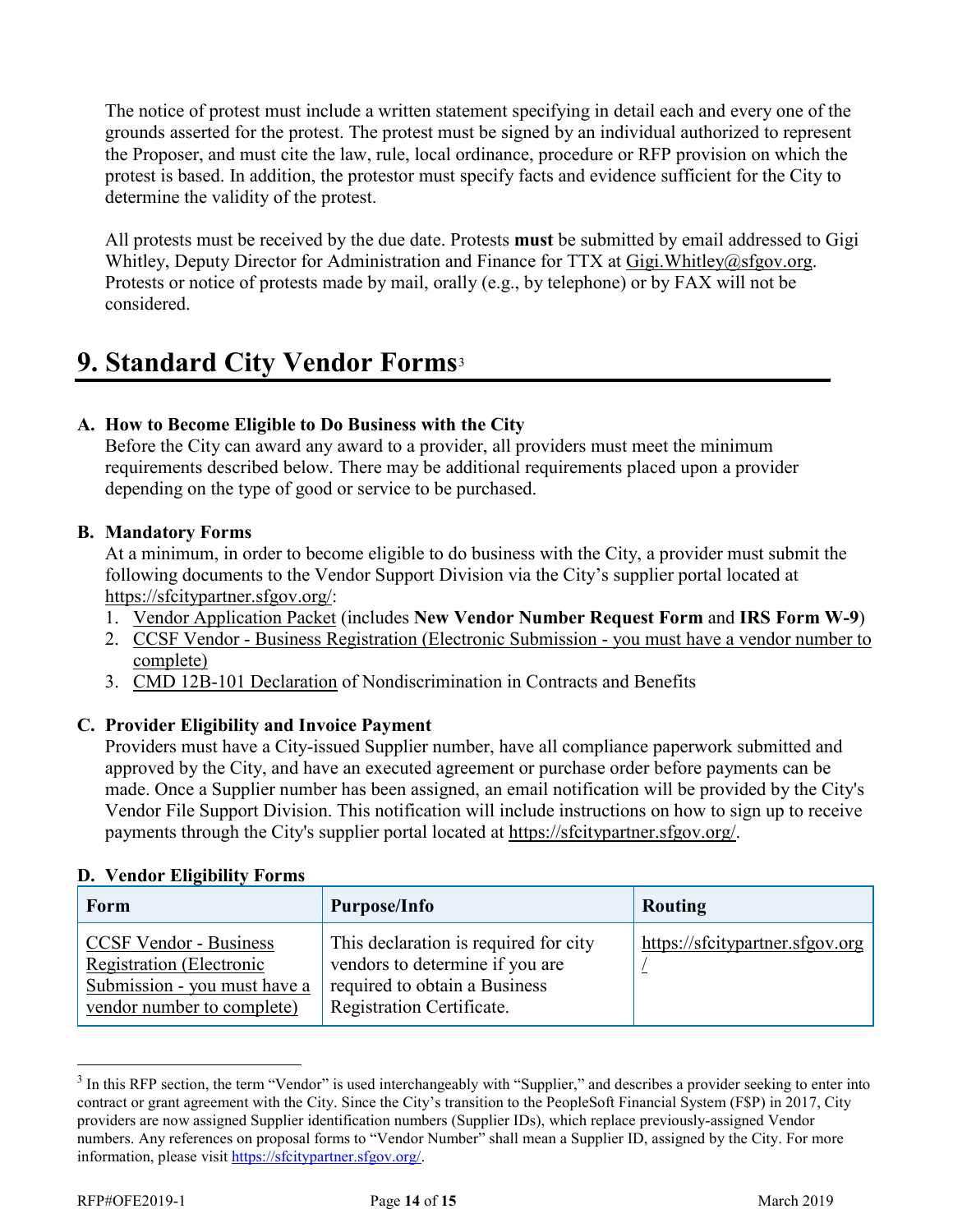The notice of protest must include a written statement specifying in detail each and every one of the grounds asserted for the protest. The protest must be signed by an individual authorized to represent the Proposer, and must cite the law, rule, local ordinance, procedure or RFP provision on which the protest is based. In addition, the protestor must specify facts and evidence sufficient for the City to determine the validity of the protest.

All protests must be received by the due date. Protests **must** be submitted by email addressed to Gigi Whitley, Deputy Director for Administration and Finance for TTX at [Gigi.Whitley@sfgov.org.](mailto:Gigi.Whitley@sfgov.org) Protests or notice of protests made by mail, orally (e.g., by telephone) or by FAX will not be considered.

# <span id="page-16-0"></span>**9. Standard City Vendor Forms**[3](#page-16-5)

## <span id="page-16-1"></span>**A. How to Become Eligible to Do Business with the City**

Before the City can award any award to a provider, all providers must meet the minimum requirements described below. There may be additional requirements placed upon a provider depending on the type of good or service to be purchased.

#### <span id="page-16-2"></span>**B. Mandatory Forms**

At a minimum, in order to become eligible to do business with the City, a provider must submit the following documents to the Vendor Support Division via the City's supplier portal located at [https://sfcitypartner.sfgov.org/:](https://sfcitypartner.sfgov.org/)

- 1. [Vendor Application Packet](http://sfgov.org/oca/file/167) (includes **New Vendor Number Request Form** and **IRS Form W-9**)
- 2. [CC](http://www.sftreasurer.org/vendor)SF Vendor [Business Registration \(Electronic Submission -](http://www.sftreasurer.org/vendor) you must have a vendor number to [complete\)](http://www.sftreasurer.org/vendor)
- 3. [CMD 12B-101 Declaration](http://sfgov.org/oca/sites/default/files/CMD-12B-101%20Declaration.pdf) of Nondiscrimination in Contracts and Benefits

## <span id="page-16-3"></span>**C. Provider Eligibility and Invoice Payment**

Providers must have a City-issued Supplier number, have all compliance paperwork submitted and approved by the City, and have an executed agreement or purchase order before payments can be made. Once a Supplier number has been assigned, an email notification will be provided by the City's Vendor File Support Division. This notification will include instructions on how to sign up to receive payments through the City's supplier portal located at [https://sfcitypartner.sfgov.org/.](https://sfcitypartner.sfgov.org/)

| Form                                                                                                                           | <b>Purpose/Info</b>                                                                                                                    | Routing                         |
|--------------------------------------------------------------------------------------------------------------------------------|----------------------------------------------------------------------------------------------------------------------------------------|---------------------------------|
| <b>CCSF Vendor - Business</b><br><b>Registration</b> (Electronic<br>Submission - you must have a<br>vendor number to complete) | This declaration is required for city<br>vendors to determine if you are<br>required to obtain a Business<br>Registration Certificate. | https://sfcitypartner.sfgov.org |

## <span id="page-16-4"></span>**D. Vendor Eligibility Forms**

<span id="page-16-5"></span><sup>&</sup>lt;sup>3</sup> In this RFP section, the term "Vendor" is used interchangeably with "Supplier," and describes a provider seeking to enter into contract or grant agreement with the City. Since the City's transition to the PeopleSoft Financial System (F\$P) in 2017, City providers are now assigned Supplier identification numbers (Supplier IDs), which replace previously-assigned Vendor numbers. Any references on proposal forms to "Vendor Number" shall mean a Supplier ID, assigned by the City. For more information, please visit [https://sfcitypartner.sfgov.org/.](https://sfcitypartner.sfgov.org/)